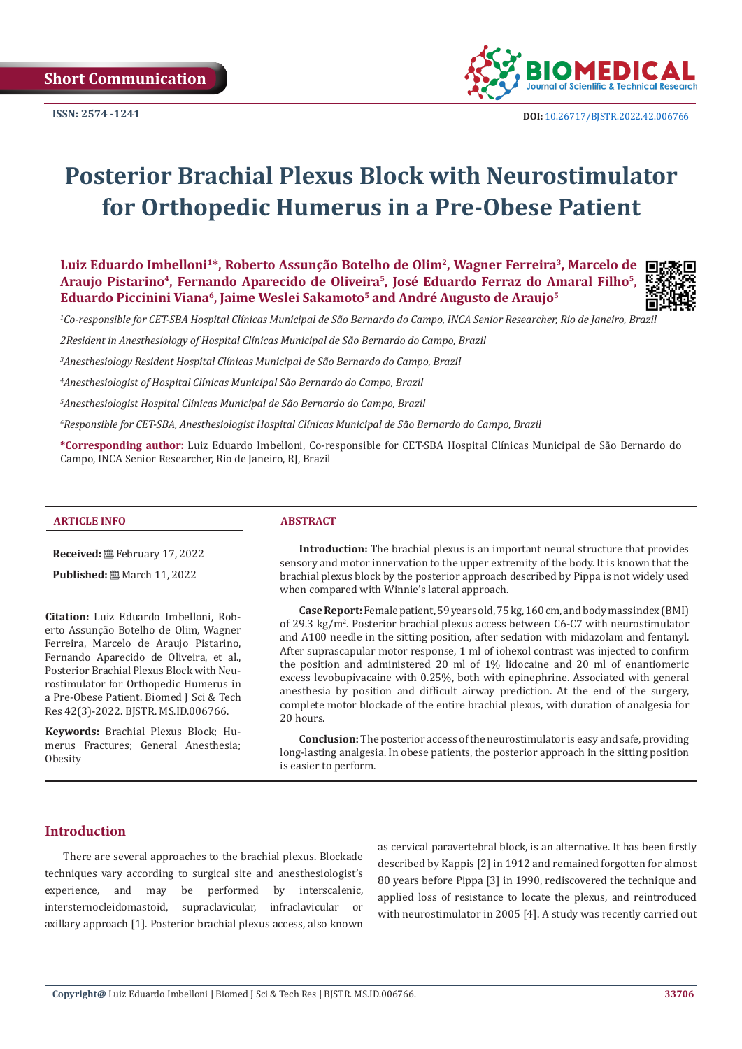

# **Posterior Brachial Plexus Block with Neurostimulator for Orthopedic Humerus in a Pre-Obese Patient**

**Luiz Eduardo Imbelloni1\*, Roberto Assunção Botelho de Olim2, Wagner Ferreira3, Marcelo de Araujo Pistarino4, Fernando Aparecido de Oliveira5, José Eduardo Ferraz do Amaral Filho5, Eduardo Piccinini Viana6, Jaime Weslei Sakamoto5 and André Augusto de Araujo5**



*1 Co-responsible for CET-SBA Hospital Clínicas Municipal de São Bernardo do Campo, INCA Senior Researcher, Rio de Janeiro, Brazil*

*2Resident in Anesthesiology of Hospital Clínicas Municipal de São Bernardo do Campo, Brazil*

*3 Anesthesiology Resident Hospital Clínicas Municipal de São Bernardo do Campo, Brazil*

*4 Anesthesiologist of Hospital Clínicas Municipal São Bernardo do Campo, Brazil*

*5 Anesthesiologist Hospital Clínicas Municipal de São Bernardo do Campo, Brazil*

*6 Responsible for CET-SBA, Anesthesiologist Hospital Clínicas Municipal de São Bernardo do Campo, Brazil*

**\*Corresponding author:** Luiz Eduardo Imbelloni, Co-responsible for CET-SBA Hospital Clínicas Municipal de São Bernardo do Campo, INCA Senior Researcher, Rio de Janeiro, RJ, Brazil

#### **ARTICLE INFO ABSTRACT**

**Received:** February 17, 2022

**Published:** ■ March 11, 2022

**Citation:** Luiz Eduardo Imbelloni, Roberto Assunção Botelho de Olim, Wagner Ferreira, Marcelo de Araujo Pistarino, Fernando Aparecido de Oliveira, et al., Posterior Brachial Plexus Block with Neurostimulator for Orthopedic Humerus in a Pre-Obese Patient. Biomed J Sci & Tech Res 42(3)-2022. BJSTR. MS.ID.006766.

**Keywords:** Brachial Plexus Block; Humerus Fractures; General Anesthesia; **Obesity** 

**Introduction:** The brachial plexus is an important neural structure that provides sensory and motor innervation to the upper extremity of the body. It is known that the brachial plexus block by the posterior approach described by Pippa is not widely used when compared with Winnie's lateral approach.

**Case Report:** Female patient, 59 years old, 75 kg, 160 cm, and body mass index (BMI) of 29.3 kg/m<sup>2</sup>. Posterior brachial plexus access between C6-C7 with neurostimulator and A100 needle in the sitting position, after sedation with midazolam and fentanyl. After suprascapular motor response, 1 ml of iohexol contrast was injected to confirm the position and administered 20 ml of 1% lidocaine and 20 ml of enantiomeric excess levobupivacaine with 0.25%, both with epinephrine. Associated with general anesthesia by position and difficult airway prediction. At the end of the surgery, complete motor blockade of the entire brachial plexus, with duration of analgesia for 20 hours.

**Conclusion:** The posterior access of the neurostimulator is easy and safe, providing long-lasting analgesia. In obese patients, the posterior approach in the sitting position is easier to perform.

#### **Introduction**

There are several approaches to the brachial plexus. Blockade techniques vary according to surgical site and anesthesiologist's experience, and may be performed by interscalenic, intersternocleidomastoid, supraclavicular, infraclavicular or axillary approach [1]. Posterior brachial plexus access, also known

as cervical paravertebral block, is an alternative. It has been firstly described by Kappis [2] in 1912 and remained forgotten for almost 80 years before Pippa [3] in 1990, rediscovered the technique and applied loss of resistance to locate the plexus, and reintroduced with neurostimulator in 2005 [4]. A study was recently carried out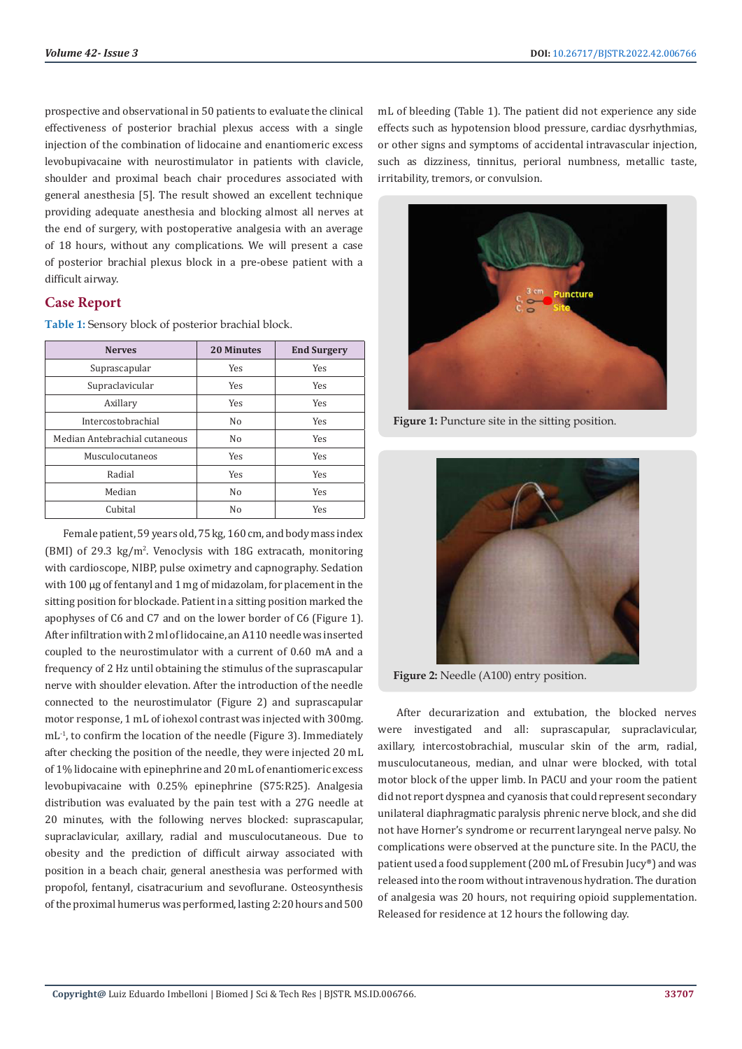prospective and observational in 50 patients to evaluate the clinical effectiveness of posterior brachial plexus access with a single injection of the combination of lidocaine and enantiomeric excess levobupivacaine with neurostimulator in patients with clavicle, shoulder and proximal beach chair procedures associated with general anesthesia [5]. The result showed an excellent technique providing adequate anesthesia and blocking almost all nerves at the end of surgery, with postoperative analgesia with an average of 18 hours, without any complications. We will present a case of posterior brachial plexus block in a pre-obese patient with a difficult airway.

# **Case Report**

**Table 1:** Sensory block of posterior brachial block.

| <b>Nerves</b>                 | <b>20 Minutes</b> | <b>End Surgery</b> |
|-------------------------------|-------------------|--------------------|
| Suprascapular                 | Yes               | Yes                |
| Supraclavicular               | Yes               | <b>Yes</b>         |
| Axillary                      | Yes               | Yes                |
| Intercostobrachial            | No                | Yes                |
| Median Antebrachial cutaneous | No                | <b>Yes</b>         |
| Musculocutaneos               | Yes               | Yes                |
| Radial                        | Yes               | Yes                |
| Median                        | No                | Yes                |
| Cubital                       | No                | Yes                |

Female patient, 59 years old, 75 kg, 160 cm, and body mass index  $(BMI)$  of 29.3 kg/m<sup>2</sup>. Venoclysis with 18G extracath, monitoring with cardioscope, NIBP, pulse oximetry and capnography. Sedation with 100 µg of fentanyl and 1 mg of midazolam, for placement in the sitting position for blockade. Patient in a sitting position marked the apophyses of C6 and C7 and on the lower border of C6 (Figure 1). After infiltration with 2 ml of lidocaine, an A110 needle was inserted coupled to the neurostimulator with a current of 0.60 mA and a frequency of 2 Hz until obtaining the stimulus of the suprascapular nerve with shoulder elevation. After the introduction of the needle connected to the neurostimulator (Figure 2) and suprascapular motor response, 1 mL of iohexol contrast was injected with 300mg. mL<sup>-1</sup>, to confirm the location of the needle (Figure 3). Immediately after checking the position of the needle, they were injected 20 mL of 1% lidocaine with epinephrine and 20 mL of enantiomeric excess levobupivacaine with 0.25% epinephrine (S75:R25). Analgesia distribution was evaluated by the pain test with a 27G needle at 20 minutes, with the following nerves blocked: suprascapular, supraclavicular, axillary, radial and musculocutaneous. Due to obesity and the prediction of difficult airway associated with position in a beach chair, general anesthesia was performed with propofol, fentanyl, cisatracurium and sevoflurane. Osteosynthesis of the proximal humerus was performed, lasting 2:20 hours and 500

mL of bleeding (Table 1). The patient did not experience any side effects such as hypotension blood pressure, cardiac dysrhythmias, or other signs and symptoms of accidental intravascular injection, such as dizziness, tinnitus, perioral numbness, metallic taste, irritability, tremors, or convulsion.



**Figure 1:** Puncture site in the sitting position.



**Figure 2:** Needle (A100) entry position.

After decurarization and extubation, the blocked nerves were investigated and all: suprascapular, supraclavicular, axillary, intercostobrachial, muscular skin of the arm, radial, musculocutaneous, median, and ulnar were blocked, with total motor block of the upper limb. In PACU and your room the patient did not report dyspnea and cyanosis that could represent secondary unilateral diaphragmatic paralysis phrenic nerve block, and she did not have Horner's syndrome or recurrent laryngeal nerve palsy. No complications were observed at the puncture site. In the PACU, the patient used a food supplement (200 mL of Fresubin Jucy®) and was released into the room without intravenous hydration. The duration of analgesia was 20 hours, not requiring opioid supplementation. Released for residence at 12 hours the following day.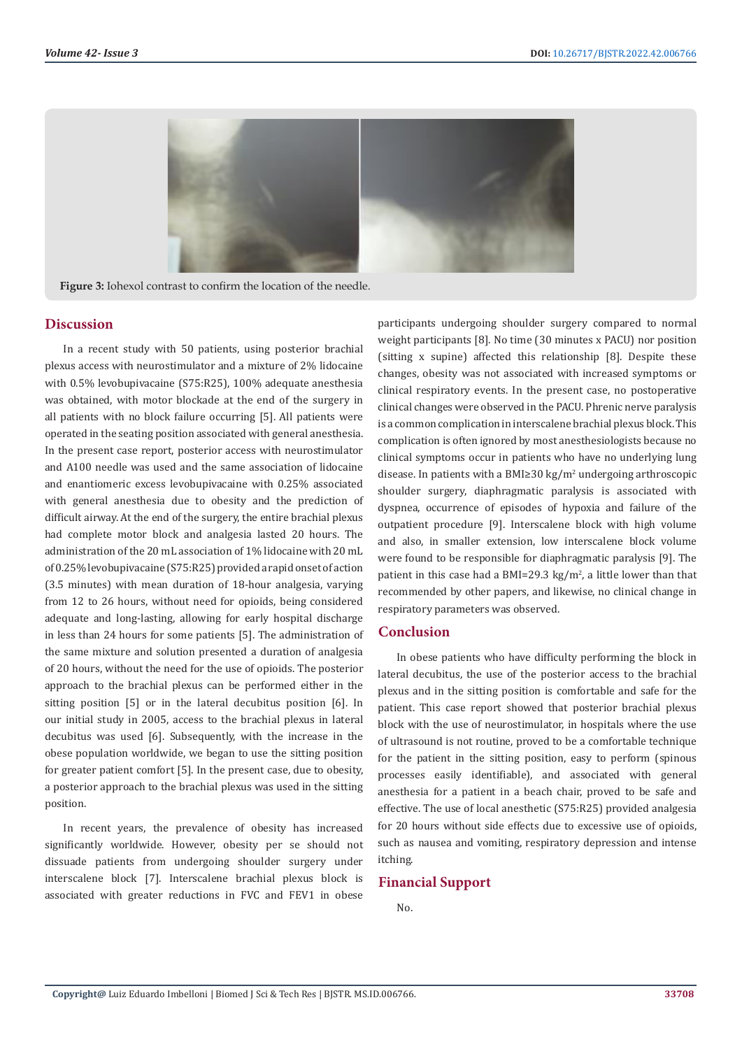

**Figure 3:** Iohexol contrast to confirm the location of the needle.

## **Discussion**

In a recent study with 50 patients, using posterior brachial plexus access with neurostimulator and a mixture of 2% lidocaine with 0.5% levobupivacaine (S75:R25), 100% adequate anesthesia was obtained, with motor blockade at the end of the surgery in all patients with no block failure occurring [5]. All patients were operated in the seating position associated with general anesthesia. In the present case report, posterior access with neurostimulator and A100 needle was used and the same association of lidocaine and enantiomeric excess levobupivacaine with 0.25% associated with general anesthesia due to obesity and the prediction of difficult airway. At the end of the surgery, the entire brachial plexus had complete motor block and analgesia lasted 20 hours. The administration of the 20 mL association of 1% lidocaine with 20 mL of 0.25% levobupivacaine (S75:R25) provided a rapid onset of action (3.5 minutes) with mean duration of 18-hour analgesia, varying from 12 to 26 hours, without need for opioids, being considered adequate and long-lasting, allowing for early hospital discharge in less than 24 hours for some patients [5]. The administration of the same mixture and solution presented a duration of analgesia of 20 hours, without the need for the use of opioids. The posterior approach to the brachial plexus can be performed either in the sitting position [5] or in the lateral decubitus position [6]. In our initial study in 2005, access to the brachial plexus in lateral decubitus was used [6]. Subsequently, with the increase in the obese population worldwide, we began to use the sitting position for greater patient comfort [5]. In the present case, due to obesity, a posterior approach to the brachial plexus was used in the sitting position.

In recent years, the prevalence of obesity has increased significantly worldwide. However, obesity per se should not dissuade patients from undergoing shoulder surgery under interscalene block [7]. Interscalene brachial plexus block is associated with greater reductions in FVC and FEV1 in obese participants undergoing shoulder surgery compared to normal weight participants [8]. No time (30 minutes x PACU) nor position (sitting x supine) affected this relationship [8]. Despite these changes, obesity was not associated with increased symptoms or clinical respiratory events. In the present case, no postoperative clinical changes were observed in the PACU. Phrenic nerve paralysis is a common complication in interscalene brachial plexus block. This complication is often ignored by most anesthesiologists because no clinical symptoms occur in patients who have no underlying lung disease. In patients with a BMI≥30 kg/m<sup>2</sup> undergoing arthroscopic shoulder surgery, diaphragmatic paralysis is associated with dyspnea, occurrence of episodes of hypoxia and failure of the outpatient procedure [9]. Interscalene block with high volume and also, in smaller extension, low interscalene block volume were found to be responsible for diaphragmatic paralysis [9]. The patient in this case had a BMI=29.3  $\text{kg/m}^2$ , a little lower than that recommended by other papers, and likewise, no clinical change in respiratory parameters was observed.

#### **Conclusion**

In obese patients who have difficulty performing the block in lateral decubitus, the use of the posterior access to the brachial plexus and in the sitting position is comfortable and safe for the patient. This case report showed that posterior brachial plexus block with the use of neurostimulator, in hospitals where the use of ultrasound is not routine, proved to be a comfortable technique for the patient in the sitting position, easy to perform (spinous processes easily identifiable), and associated with general anesthesia for a patient in a beach chair, proved to be safe and effective. The use of local anesthetic (S75:R25) provided analgesia for 20 hours without side effects due to excessive use of opioids, such as nausea and vomiting, respiratory depression and intense itching.

## **Financial Support**

No.